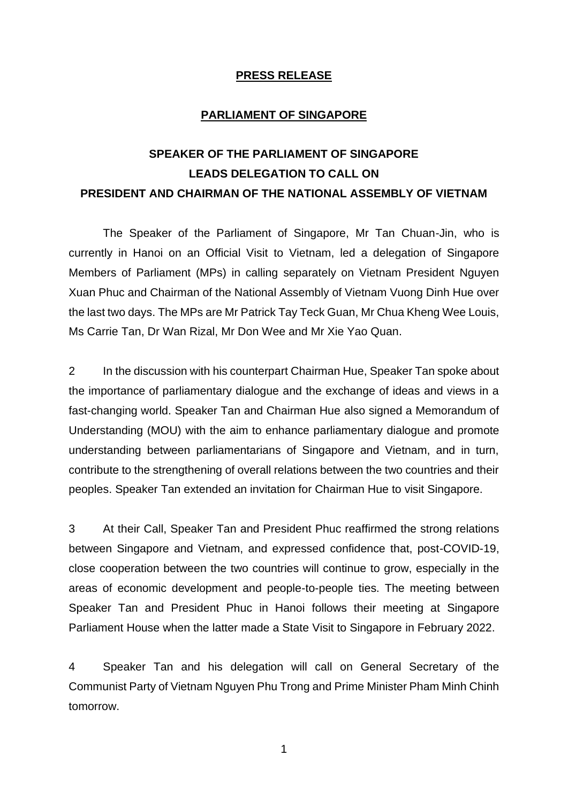## **PRESS RELEASE**

## **PARLIAMENT OF SINGAPORE**

## **SPEAKER OF THE PARLIAMENT OF SINGAPORE LEADS DELEGATION TO CALL ON PRESIDENT AND CHAIRMAN OF THE NATIONAL ASSEMBLY OF VIETNAM**

The Speaker of the Parliament of Singapore, Mr Tan Chuan-Jin, who is currently in Hanoi on an Official Visit to Vietnam, led a delegation of Singapore Members of Parliament (MPs) in calling separately on Vietnam President Nguyen Xuan Phuc and Chairman of the National Assembly of Vietnam Vuong Dinh Hue over the last two days. The MPs are Mr Patrick Tay Teck Guan, Mr Chua Kheng Wee Louis, Ms Carrie Tan, Dr Wan Rizal, Mr Don Wee and Mr Xie Yao Quan.

2 In the discussion with his counterpart Chairman Hue, Speaker Tan spoke about the importance of parliamentary dialogue and the exchange of ideas and views in a fast-changing world. Speaker Tan and Chairman Hue also signed a Memorandum of Understanding (MOU) with the aim to enhance parliamentary dialogue and promote understanding between parliamentarians of Singapore and Vietnam, and in turn, contribute to the strengthening of overall relations between the two countries and their peoples. Speaker Tan extended an invitation for Chairman Hue to visit Singapore.

3 At their Call, Speaker Tan and President Phuc reaffirmed the strong relations between Singapore and Vietnam, and expressed confidence that, post-COVID-19, close cooperation between the two countries will continue to grow, especially in the areas of economic development and people-to-people ties. The meeting between Speaker Tan and President Phuc in Hanoi follows their meeting at Singapore Parliament House when the latter made a State Visit to Singapore in February 2022.

4 Speaker Tan and his delegation will call on General Secretary of the Communist Party of Vietnam Nguyen Phu Trong and Prime Minister Pham Minh Chinh tomorrow.

1